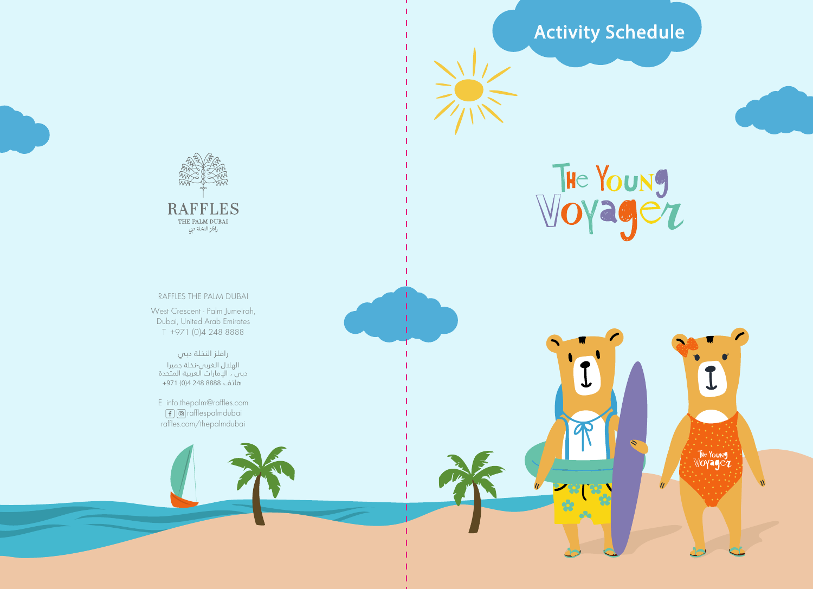

**RAFFLES** THE PALM DUBAI<br>راقلز النخلة دبي

West Crescent - Palm Jumeirah, Dubai, United Arab Emirates

الهلال الغربي-نخلة جميرا دبي ، الإمارات العربية المتحدة هاتف 8888 248 4(0) +971

 rafflespalmdubai raffles.com/thepalmdubai